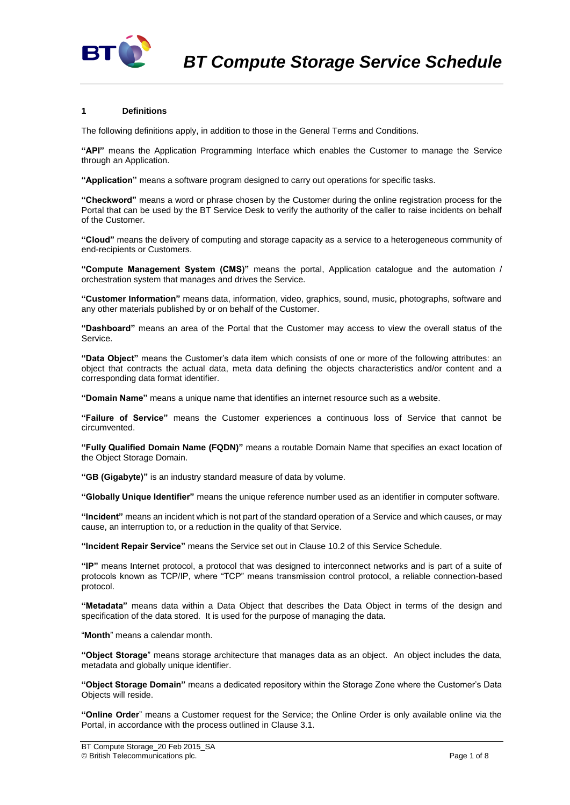

## **1 Definitions**

The following definitions apply, in addition to those in the General Terms and Conditions.

**"API"** means the Application Programming Interface which enables the Customer to manage the Service through an Application.

**"Application"** means a software program designed to carry out operations for specific tasks.

**"Checkword"** means a word or phrase chosen by the Customer during the online registration process for the Portal that can be used by the BT Service Desk to verify the authority of the caller to raise incidents on behalf of the Customer.

**"Cloud"** means the delivery of computing and storage capacity as a service to a heterogeneous community of end-recipients or Customers.

**"Compute Management System (CMS)"** means the portal, Application catalogue and the automation / orchestration system that manages and drives the Service.

**"Customer Information"** means data, information, video, graphics, sound, music, photographs, software and any other materials published by or on behalf of the Customer.

**"Dashboard"** means an area of the Portal that the Customer may access to view the overall status of the Service.

**"Data Object"** means the Customer's data item which consists of one or more of the following attributes: an object that contracts the actual data, meta data defining the objects characteristics and/or content and a corresponding data format identifier.

**"Domain Name"** means a unique name that identifies an internet resource such as a website.

**"Failure of Service"** means the Customer experiences a continuous loss of Service that cannot be circumvented.

**"Fully Qualified Domain Name (FQDN)"** means a routable Domain Name that specifies an exact location of the Object Storage Domain.

**"GB (Gigabyte)"** is an industry standard measure of data by volume.

**"Globally Unique Identifier"** means the unique reference number used as an identifier in computer software.

**"Incident"** means an incident which is not part of the standard operation of a Service and which causes, or may cause, an interruption to, or a reduction in the quality of that Service.

**"Incident Repair Service"** means the Service set out in Clause [10.2](#page-3-0) of this Service Schedule.

**"IP"** means Internet protocol, a protocol that was designed to interconnect networks and is part of a suite of protocols known as TCP/IP, where "TCP" means transmission control protocol, a reliable connection-based protocol.

**"Metadata"** means data within a Data Object that describes the Data Object in terms of the design and specification of the data stored. It is used for the purpose of managing the data.

"**Month**" means a calendar month.

**"Object Storage**" means storage architecture that manages data as an object. An object includes the data, metadata and globally unique identifier.

**"Object Storage Domain"** means a dedicated repository within the Storage Zone where the Customer's Data Objects will reside.

**"Online Order**" means a Customer request for the Service; the Online Order is only available online via the Portal, in accordance with the process outlined in Claus[e 3.1.](#page-1-0)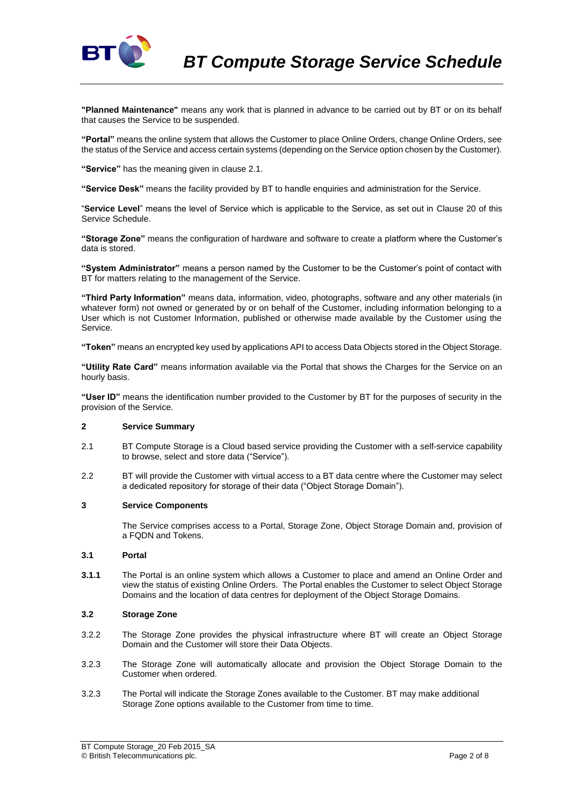

**"Planned Maintenance"** means any work that is planned in advance to be carried out by BT or on its behalf that causes the Service to be suspended.

**"Portal"** means the online system that allows the Customer to place Online Orders, change Online Orders, see the status of the Service and access certain systems (depending on the Service option chosen by the Customer).

**"Service"** has the meaning given in clause 2.1.

**"Service Desk"** means the facility provided by BT to handle enquiries and administration for the Service.

"**Service Level**" means the level of Service which is applicable to the Service, as set out in Clause 20 of this Service Schedule.

**"Storage Zone"** means the configuration of hardware and software to create a platform where the Customer's data is stored.

**"System Administrator"** means a person named by the Customer to be the Customer's point of contact with BT for matters relating to the management of the Service.

**"Third Party Information"** means data, information, video, photographs, software and any other materials (in whatever form) not owned or generated by or on behalf of the Customer, including information belonging to a User which is not Customer Information, published or otherwise made available by the Customer using the Service.

**"Token"** means an encrypted key used by applications API to access Data Objects stored in the Object Storage.

**"Utility Rate Card"** means information available via the Portal that shows the Charges for the Service on an hourly basis.

**"User ID"** means the identification number provided to the Customer by BT for the purposes of security in the provision of the Service.

# **2 Service Summary**

- 2.1 BT Compute Storage is a Cloud based service providing the Customer with a self-service capability to browse, select and store data ("Service").
- 2.2 BT will provide the Customer with virtual access to a BT data centre where the Customer may select a dedicated repository for storage of their data ("Object Storage Domain").

#### **3 Service Components**

The Service comprises access to a Portal, Storage Zone, Object Storage Domain and, provision of a FQDN and Tokens.

## <span id="page-1-0"></span>**3.1 Portal**

**3.1.1** The Portal is an online system which allows a Customer to place and amend an Online Order and view the status of existing Online Orders. The Portal enables the Customer to select Object Storage Domains and the location of data centres for deployment of the Object Storage Domains.

### **3.2 Storage Zone**

- 3.2.2 The Storage Zone provides the physical infrastructure where BT will create an Object Storage Domain and the Customer will store their Data Objects.
- 3.2.3 The Storage Zone will automatically allocate and provision the Object Storage Domain to the Customer when ordered.
- 3.2.3 The Portal will indicate the Storage Zones available to the Customer. BT may make additional Storage Zone options available to the Customer from time to time.

BT Compute Storage\_20 Feb 2015\_SA © British Telecommunications plc. Page 2 of 8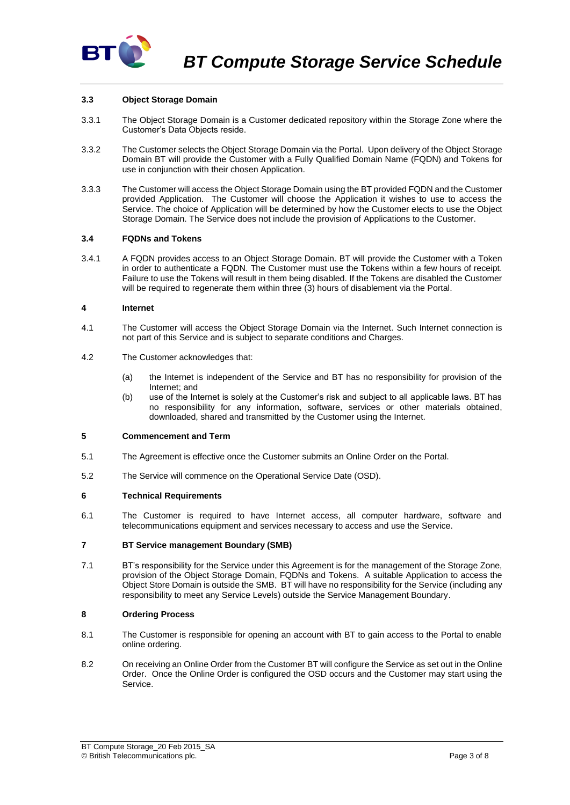

# **3.3 Object Storage Domain**

- 3.3.1 The Object Storage Domain is a Customer dedicated repository within the Storage Zone where the Customer's Data Objects reside.
- 3.3.2 The Customer selects the Object Storage Domain via the Portal. Upon delivery of the Object Storage Domain BT will provide the Customer with a Fully Qualified Domain Name (FQDN) and Tokens for use in conjunction with their chosen Application.
- 3.3.3 The Customer will access the Object Storage Domain using the BT provided FQDN and the Customer provided Application. The Customer will choose the Application it wishes to use to access the Service. The choice of Application will be determined by how the Customer elects to use the Object Storage Domain. The Service does not include the provision of Applications to the Customer.

### **3.4 FQDNs and Tokens**

3.4.1 A FQDN provides access to an Object Storage Domain. BT will provide the Customer with a Token in order to authenticate a FQDN. The Customer must use the Tokens within a few hours of receipt. Failure to use the Tokens will result in them being disabled. If the Tokens are disabled the Customer will be required to regenerate them within three (3) hours of disablement via the Portal.

### **4 Internet**

- 4.1 The Customer will access the Object Storage Domain via the Internet. Such Internet connection is not part of this Service and is subject to separate conditions and Charges.
- 4.2 The Customer acknowledges that:
	- (a) the Internet is independent of the Service and BT has no responsibility for provision of the Internet; and
	- (b) use of the Internet is solely at the Customer's risk and subject to all applicable laws. BT has no responsibility for any information, software, services or other materials obtained, downloaded, shared and transmitted by the Customer using the Internet.

## **5 Commencement and Term**

- 5.1 The Agreement is effective once the Customer submits an Online Order on the Portal.
- 5.2 The Service will commence on the Operational Service Date (OSD).

# **6 Technical Requirements**

6.1 The Customer is required to have Internet access, all computer hardware, software and telecommunications equipment and services necessary to access and use the Service.

### **7 BT Service management Boundary (SMB)**

7.1 BT's responsibility for the Service under this Agreement is for the management of the Storage Zone, provision of the Object Storage Domain, FQDNs and Tokens. A suitable Application to access the Object Store Domain is outside the SMB. BT will have no responsibility for the Service (including any responsibility to meet any Service Levels) outside the Service Management Boundary.

# **8 Ordering Process**

- 8.1 The Customer is responsible for opening an account with BT to gain access to the Portal to enable online ordering.
- 8.2 On receiving an Online Order from the Customer BT will configure the Service as set out in the Online Order. Once the Online Order is configured the OSD occurs and the Customer may start using the Service.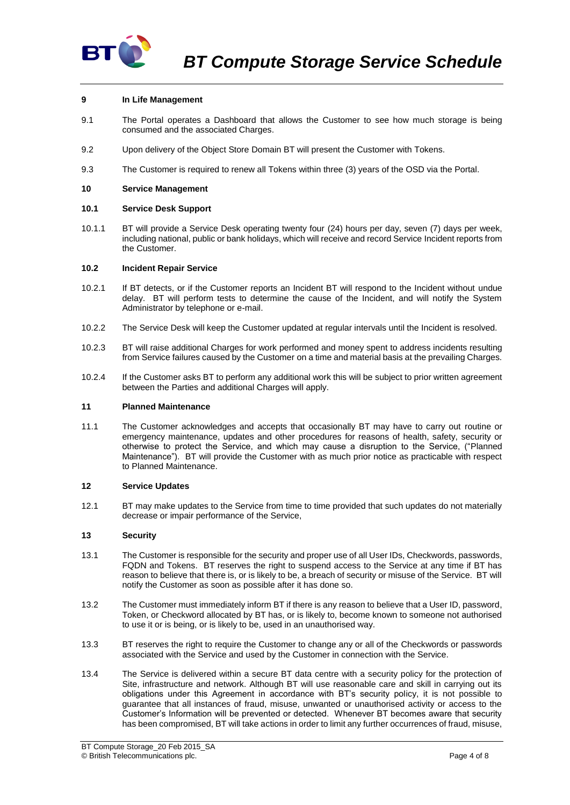

## **9 In Life Management**

- 9.1 The Portal operates a Dashboard that allows the Customer to see how much storage is being consumed and the associated Charges.
- 9.2 Upon delivery of the Object Store Domain BT will present the Customer with Tokens.
- 9.3 The Customer is required to renew all Tokens within three (3) years of the OSD via the Portal.

### **10 Service Management**

### **10.1 Service Desk Support**

10.1.1 BT will provide a Service Desk operating twenty four (24) hours per day, seven (7) days per week, including national, public or bank holidays, which will receive and record Service Incident reports from the Customer.

### <span id="page-3-0"></span>**10.2 Incident Repair Service**

- 10.2.1 If BT detects, or if the Customer reports an Incident BT will respond to the Incident without undue delay. BT will perform tests to determine the cause of the Incident, and will notify the System Administrator by telephone or e-mail.
- 10.2.2 The Service Desk will keep the Customer updated at regular intervals until the Incident is resolved.
- 10.2.3 BT will raise additional Charges for work performed and money spent to address incidents resulting from Service failures caused by the Customer on a time and material basis at the prevailing Charges.
- 10.2.4 If the Customer asks BT to perform any additional work this will be subject to prior written agreement between the Parties and additional Charges will apply.

### **11 Planned Maintenance**

11.1 The Customer acknowledges and accepts that occasionally BT may have to carry out routine or emergency maintenance, updates and other procedures for reasons of health, safety, security or otherwise to protect the Service, and which may cause a disruption to the Service, ("Planned Maintenance"). BT will provide the Customer with as much prior notice as practicable with respect to Planned Maintenance.

### **12 Service Updates**

12.1 BT may make updates to the Service from time to time provided that such updates do not materially decrease or impair performance of the Service,

### **13 Security**

- 13.1 The Customer is responsible for the security and proper use of all User IDs, Checkwords, passwords, FQDN and Tokens. BT reserves the right to suspend access to the Service at any time if BT has reason to believe that there is, or is likely to be, a breach of security or misuse of the Service. BT will notify the Customer as soon as possible after it has done so.
- 13.2 The Customer must immediately inform BT if there is any reason to believe that a User ID, password, Token, or Checkword allocated by BT has, or is likely to, become known to someone not authorised to use it or is being, or is likely to be, used in an unauthorised way.
- 13.3 BT reserves the right to require the Customer to change any or all of the Checkwords or passwords associated with the Service and used by the Customer in connection with the Service.
- 13.4 The Service is delivered within a secure BT data centre with a security policy for the protection of Site, infrastructure and network. Although BT will use reasonable care and skill in carrying out its obligations under this Agreement in accordance with BT's security policy, it is not possible to guarantee that all instances of fraud, misuse, unwanted or unauthorised activity or access to the Customer's Information will be prevented or detected. Whenever BT becomes aware that security has been compromised, BT will take actions in order to limit any further occurrences of fraud, misuse,

BT Compute Storage\_20 Feb 2015\_SA © British Telecommunications plc. Page 4 of 8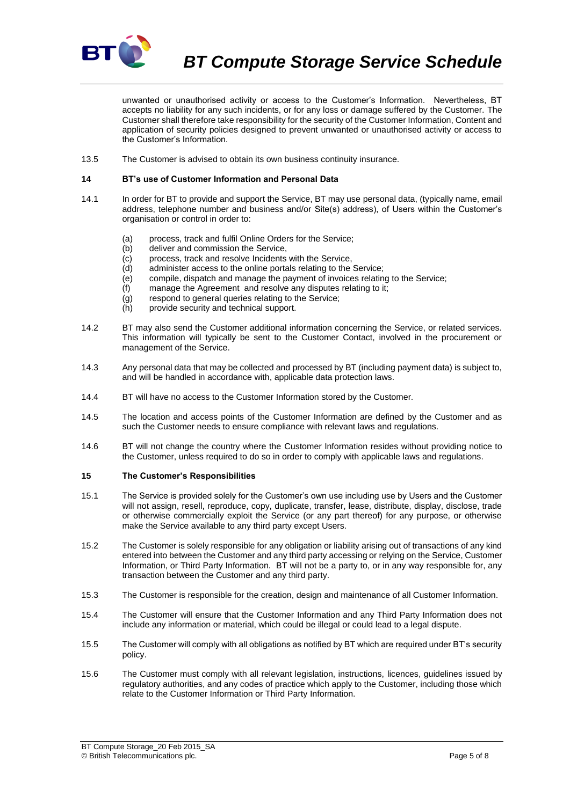

*BT Compute Storage Service Schedule*

unwanted or unauthorised activity or access to the Customer's Information. Nevertheless, BT accepts no liability for any such incidents, or for any loss or damage suffered by the Customer. The Customer shall therefore take responsibility for the security of the Customer Information, Content and application of security policies designed to prevent unwanted or unauthorised activity or access to the Customer's Information.

13.5 The Customer is advised to obtain its own business continuity insurance.

## **14 BT's use of Customer Information and Personal Data**

- 14.1 In order for BT to provide and support the Service, BT may use personal data, (typically name, email address, telephone number and business and/or Site(s) address), of Users within the Customer's organisation or control in order to:
	- (a) process, track and fulfil Online Orders for the Service;
	- (b) deliver and commission the Service,
	- (c) process, track and resolve Incidents with the Service,
	- (d) administer access to the online portals relating to the Service;
	- (e) compile, dispatch and manage the payment of invoices relating to the Service;
	- (f) manage the Agreement and resolve any disputes relating to it;
	- (g) respond to general queries relating to the Service;
	- (h) provide security and technical support.
- 14.2 BT may also send the Customer additional information concerning the Service, or related services. This information will typically be sent to the Customer Contact, involved in the procurement or management of the Service.
- 14.3 Any personal data that may be collected and processed by BT (including payment data) is subject to, and will be handled in accordance with, applicable data protection laws.
- 14.4 BT will have no access to the Customer Information stored by the Customer.
- 14.5 The location and access points of the Customer Information are defined by the Customer and as such the Customer needs to ensure compliance with relevant laws and regulations.
- 14.6 BT will not change the country where the Customer Information resides without providing notice to the Customer, unless required to do so in order to comply with applicable laws and regulations.

## <span id="page-4-0"></span>**15 The Customer's Responsibilities**

- 15.1 The Service is provided solely for the Customer's own use including use by Users and the Customer will not assign, resell, reproduce, copy, duplicate, transfer, lease, distribute, display, disclose, trade or otherwise commercially exploit the Service (or any part thereof) for any purpose, or otherwise make the Service available to any third party except Users.
- 15.2 The Customer is solely responsible for any obligation or liability arising out of transactions of any kind entered into between the Customer and any third party accessing or relying on the Service, Customer Information, or Third Party Information. BT will not be a party to, or in any way responsible for, any transaction between the Customer and any third party.
- 15.3 The Customer is responsible for the creation, design and maintenance of all Customer Information.
- 15.4 The Customer will ensure that the Customer Information and any Third Party Information does not include any information or material, which could be illegal or could lead to a legal dispute.
- 15.5 The Customer will comply with all obligations as notified by BT which are required under BT's security policy.
- 15.6 The Customer must comply with all relevant legislation, instructions, licences, guidelines issued by regulatory authorities, and any codes of practice which apply to the Customer, including those which relate to the Customer Information or Third Party Information.

BT Compute Storage\_20 Feb 2015\_SA © British Telecommunications plc. Page 5 of 8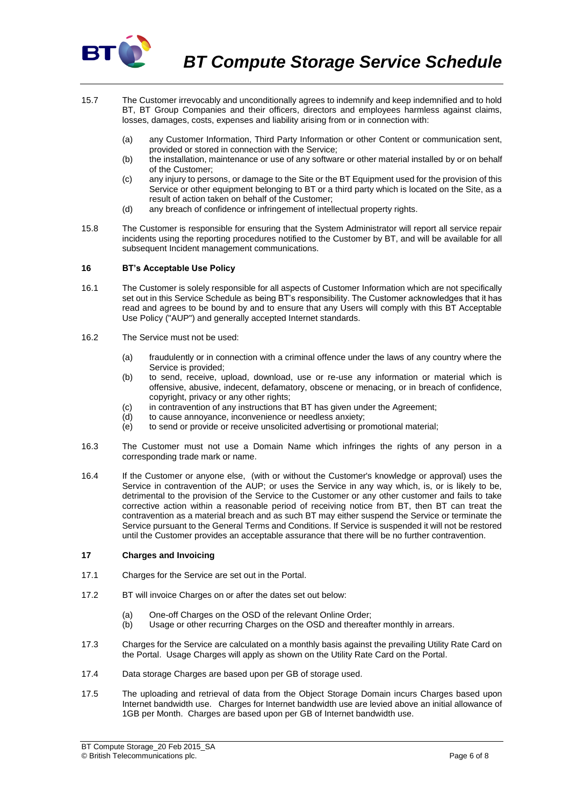

- 15.7 The Customer irrevocably and unconditionally agrees to indemnify and keep indemnified and to hold BT, BT Group Companies and their officers, directors and employees harmless against claims, losses, damages, costs, expenses and liability arising from or in connection with:
	- (a) any Customer Information, Third Party Information or other Content or communication sent, provided or stored in connection with the Service;
	- (b) the installation, maintenance or use of any software or other material installed by or on behalf of the Customer;
	- (c) any injury to persons, or damage to the Site or the BT Equipment used for the provision of this Service or other equipment belonging to BT or a third party which is located on the Site, as a result of action taken on behalf of the Customer;
	- (d) any breach of confidence or infringement of intellectual property rights.
- 15.8 The Customer is responsible for ensuring that the System Administrator will report all service repair incidents using the reporting procedures notified to the Customer by BT, and will be available for all subsequent Incident management communications.

## **16 BT's Acceptable Use Policy**

- 16.1 The Customer is solely responsible for all aspects of Customer Information which are not specifically set out in this Service Schedule as being BT's responsibility. The Customer acknowledges that it has read and agrees to be bound by and to ensure that any Users will comply with this BT Acceptable Use Policy ("AUP") and generally accepted Internet standards.
- 16.2 The Service must not be used:
	- (a) fraudulently or in connection with a criminal offence under the laws of any country where the Service is provided;
	- (b) to send, receive, upload, download, use or re-use any information or material which is offensive, abusive, indecent, defamatory, obscene or menacing, or in breach of confidence, copyright, privacy or any other rights;
	- (c) in contravention of any instructions that BT has given under the Agreement;
	- (d) to cause annoyance, inconvenience or needless anxiety;
	- (e) to send or provide or receive unsolicited advertising or promotional material;
- 16.3 The Customer must not use a Domain Name which infringes the rights of any person in a corresponding trade mark or name.
- 16.4 If the Customer or anyone else, (with or without the Customer's knowledge or approval) uses the Service in contravention of the AUP; or uses the Service in any way which, is, or is likely to be, detrimental to the provision of the Service to the Customer or any other customer and fails to take corrective action within a reasonable period of receiving notice from BT, then BT can treat the contravention as a material breach and as such BT may either suspend the Service or terminate the Service pursuant to the General Terms and Conditions. If Service is suspended it will not be restored until the Customer provides an acceptable assurance that there will be no further contravention.

### **17 Charges and Invoicing**

- 17.1 Charges for the Service are set out in the Portal.
- 17.2 BT will invoice Charges on or after the dates set out below:
	- (a) One-off Charges on the OSD of the relevant Online Order:
	- (b) Usage or other recurring Charges on the OSD and thereafter monthly in arrears.
- 17.3 Charges for the Service are calculated on a monthly basis against the prevailing Utility Rate Card on the Portal. Usage Charges will apply as shown on the Utility Rate Card on the Portal.
- 17.4 Data storage Charges are based upon per GB of storage used.
- 17.5 The uploading and retrieval of data from the Object Storage Domain incurs Charges based upon Internet bandwidth use. Charges for Internet bandwidth use are levied above an initial allowance of 1GB per Month. Charges are based upon per GB of Internet bandwidth use.

BT Compute Storage\_20 Feb 2015\_SA © British Telecommunications plc. Page 6 of 8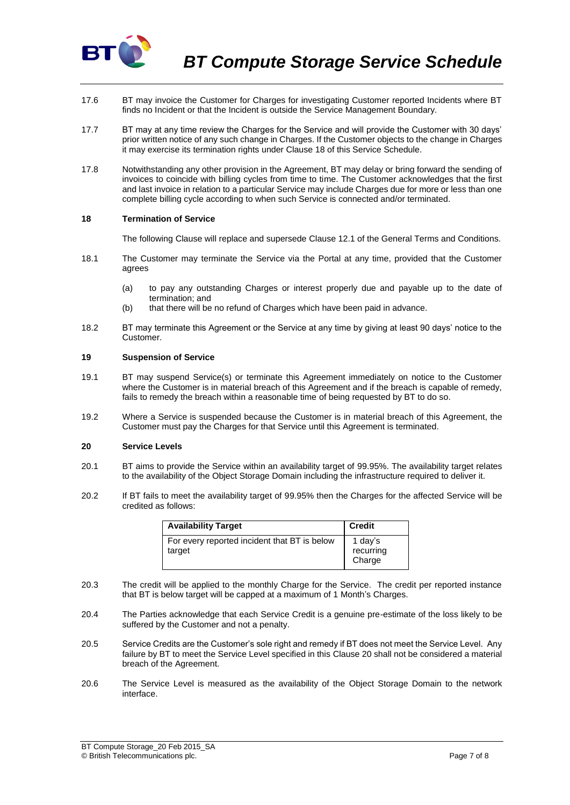

- 17.6 BT may invoice the Customer for Charges for investigating Customer reported Incidents where BT finds no Incident or that the Incident is outside the Service Management Boundary.
- 17.7 BT may at any time review the Charges for the Service and will provide the Customer with 30 days' prior written notice of any such change in Charges. If the Customer objects to the change in Charges it may exercise its termination rights under Clause 18 of this Service Schedule.
- 17.8 Notwithstanding any other provision in the Agreement, BT may delay or bring forward the sending of invoices to coincide with billing cycles from time to time. The Customer acknowledges that the first and last invoice in relation to a particular Service may include Charges due for more or less than one complete billing cycle according to when such Service is connected and/or terminated.

### **18 Termination of Service**

The following Clause will replace and supersede Clause 12.1 of the General Terms and Conditions.

- 18.1 The Customer may terminate the Service via the Portal at any time, provided that the Customer agrees
	- (a) to pay any outstanding Charges or interest properly due and payable up to the date of termination; and
	- (b) that there will be no refund of Charges which have been paid in advance.
- 18.2 BT may terminate this Agreement or the Service at any time by giving at least 90 days' notice to the Customer.

#### **19 Suspension of Service**

- 19.1 BT may suspend Service(s) or terminate this Agreement immediately on notice to the Customer where the Customer is in material breach of this Agreement and if the breach is capable of remedy, fails to remedy the breach within a reasonable time of being requested by BT to do so.
- 19.2 Where a Service is suspended because the Customer is in material breach of this Agreement, the Customer must pay the Charges for that Service until this Agreement is terminated.

# <span id="page-6-0"></span>**20 Service Levels**

- 20.1 BT aims to provide the Service within an availability target of 99.95%. The availability target relates to the availability of the Object Storage Domain including the infrastructure required to deliver it.
- 20.2 If BT fails to meet the availability target of 99.95% then the Charges for the affected Service will be credited as follows:

| <b>Availability Target</b>                             | <b>Credit</b>                  |
|--------------------------------------------------------|--------------------------------|
| For every reported incident that BT is below<br>target | 1 day's<br>recurring<br>Charge |

- 20.3 The credit will be applied to the monthly Charge for the Service. The credit per reported instance that BT is below target will be capped at a maximum of 1 Month's Charges.
- 20.4 The Parties acknowledge that each Service Credit is a genuine pre-estimate of the loss likely to be suffered by the Customer and not a penalty.
- 20.5 Service Credits are the Customer's sole right and remedy if BT does not meet the Service Level. Any failure by BT to meet the Service Level specified in this Clause [20](#page-6-0) shall not be considered a material breach of the Agreement.
- 20.6 The Service Level is measured as the availability of the Object Storage Domain to the network interface.

BT Compute Storage\_20 Feb 2015\_SA © British Telecommunications plc. Page 7 of 8